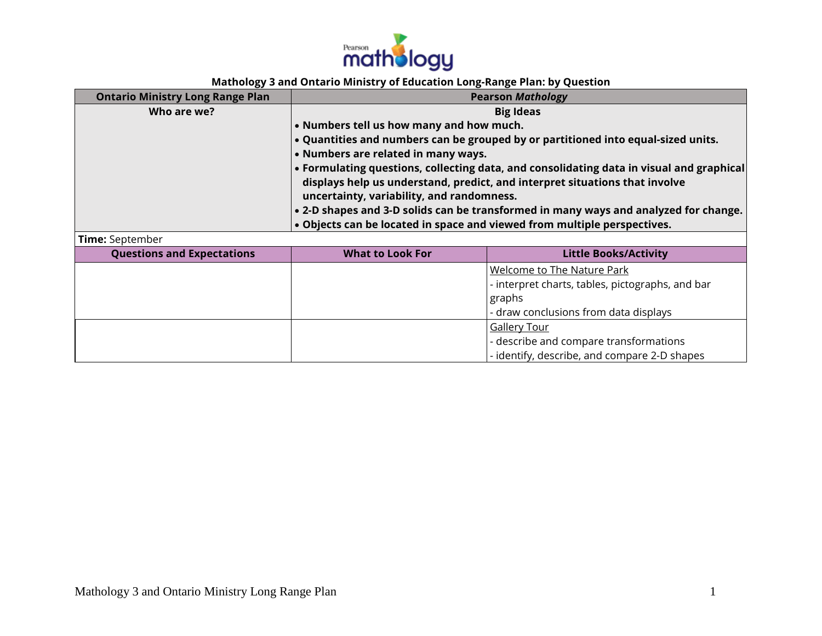

## **Mathology 3 and Ontario Ministry of Education Long-Range Plan: by Question**

| <b>Ontario Ministry Long Range Plan</b> |                                                                                      | <b>Pearson Mathology</b>                                                                 |
|-----------------------------------------|--------------------------------------------------------------------------------------|------------------------------------------------------------------------------------------|
| Who are we?                             | <b>Big Ideas</b>                                                                     |                                                                                          |
|                                         | • Numbers tell us how many and how much.                                             |                                                                                          |
|                                         |                                                                                      | . Quantities and numbers can be grouped by or partitioned into equal-sized units.        |
|                                         | • Numbers are related in many ways.                                                  |                                                                                          |
|                                         |                                                                                      | • Formulating questions, collecting data, and consolidating data in visual and graphical |
|                                         |                                                                                      | displays help us understand, predict, and interpret situations that involve              |
|                                         | uncertainty, variability, and randomness.                                            |                                                                                          |
|                                         | . 2-D shapes and 3-D solids can be transformed in many ways and analyzed for change. |                                                                                          |
|                                         | . Objects can be located in space and viewed from multiple perspectives.             |                                                                                          |
| Time: September                         |                                                                                      |                                                                                          |
| <b>Questions and Expectations</b>       | <b>What to Look For</b>                                                              | <b>Little Books/Activity</b>                                                             |
|                                         |                                                                                      | Welcome to The Nature Park                                                               |
|                                         |                                                                                      | - interpret charts, tables, pictographs, and bar                                         |
|                                         |                                                                                      | graphs                                                                                   |
|                                         |                                                                                      | - draw conclusions from data displays                                                    |
|                                         |                                                                                      | <b>Gallery Tour</b>                                                                      |
|                                         |                                                                                      | - describe and compare transformations                                                   |
|                                         |                                                                                      | - identify, describe, and compare 2-D shapes                                             |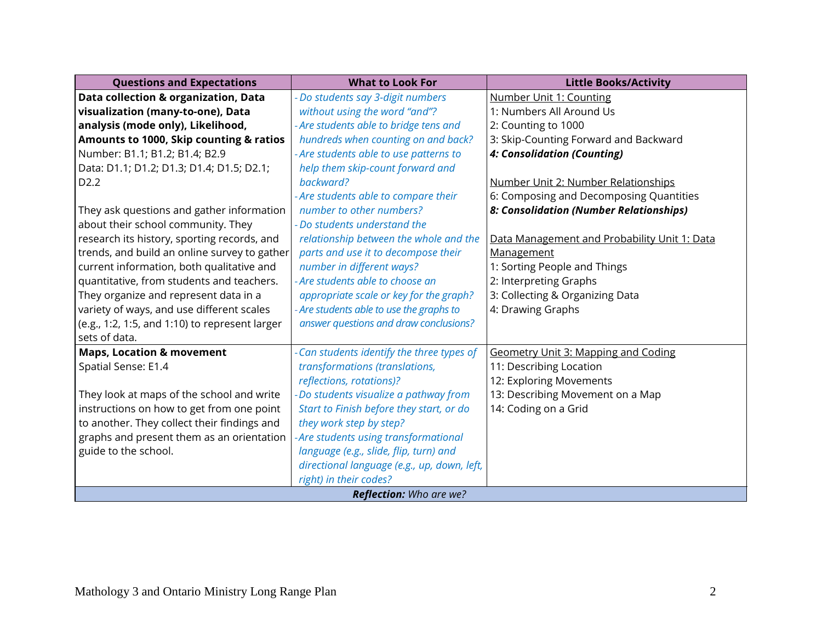| <b>Questions and Expectations</b>              | <b>What to Look For</b>                     | <b>Little Books/Activity</b>                 |
|------------------------------------------------|---------------------------------------------|----------------------------------------------|
| Data collection & organization, Data           | - Do students say 3-digit numbers           | Number Unit 1: Counting                      |
| visualization (many-to-one), Data              | without using the word "and"?               | 1: Numbers All Around Us                     |
| analysis (mode only), Likelihood,              | - Are students able to bridge tens and      | 2: Counting to 1000                          |
| Amounts to 1000, Skip counting & ratios        | hundreds when counting on and back?         | 3: Skip-Counting Forward and Backward        |
| Number: B1.1; B1.2; B1.4; B2.9                 | - Are students able to use patterns to      | 4: Consolidation (Counting)                  |
| Data: D1.1; D1.2; D1.3; D1.4; D1.5; D2.1;      | help them skip-count forward and            |                                              |
| D <sub>2.2</sub>                               | backward?                                   | Number Unit 2: Number Relationships          |
|                                                | - Are students able to compare their        | 6: Composing and Decomposing Quantities      |
| They ask questions and gather information      | number to other numbers?                    | 8: Consolidation (Number Relationships)      |
| about their school community. They             | - Do students understand the                |                                              |
| research its history, sporting records, and    | relationship between the whole and the      | Data Management and Probability Unit 1: Data |
| trends, and build an online survey to gather   | parts and use it to decompose their         | Management                                   |
| current information, both qualitative and      | number in different ways?                   | 1: Sorting People and Things                 |
| quantitative, from students and teachers.      | - Are students able to choose an            | 2: Interpreting Graphs                       |
| They organize and represent data in a          | appropriate scale or key for the graph?     | 3: Collecting & Organizing Data              |
| variety of ways, and use different scales      | - Are students able to use the graphs to    | 4: Drawing Graphs                            |
| (e.g., 1:2, 1:5, and 1:10) to represent larger | answer questions and draw conclusions?      |                                              |
| sets of data.                                  |                                             |                                              |
| <b>Maps, Location &amp; movement</b>           | - Can students identify the three types of  | <b>Geometry Unit 3: Mapping and Coding</b>   |
| Spatial Sense: E1.4                            | transformations (translations,              | 11: Describing Location                      |
|                                                | reflections, rotations)?                    | 12: Exploring Movements                      |
| They look at maps of the school and write      | -Do students visualize a pathway from       | 13: Describing Movement on a Map             |
| instructions on how to get from one point      | Start to Finish before they start, or do    | 14: Coding on a Grid                         |
| to another. They collect their findings and    | they work step by step?                     |                                              |
| graphs and present them as an orientation      | -Are students using transformational        |                                              |
| guide to the school.                           | language (e.g., slide, flip, turn) and      |                                              |
|                                                | directional language (e.g., up, down, left, |                                              |
|                                                | right) in their codes?                      |                                              |
| <b>Reflection:</b> Who are we?                 |                                             |                                              |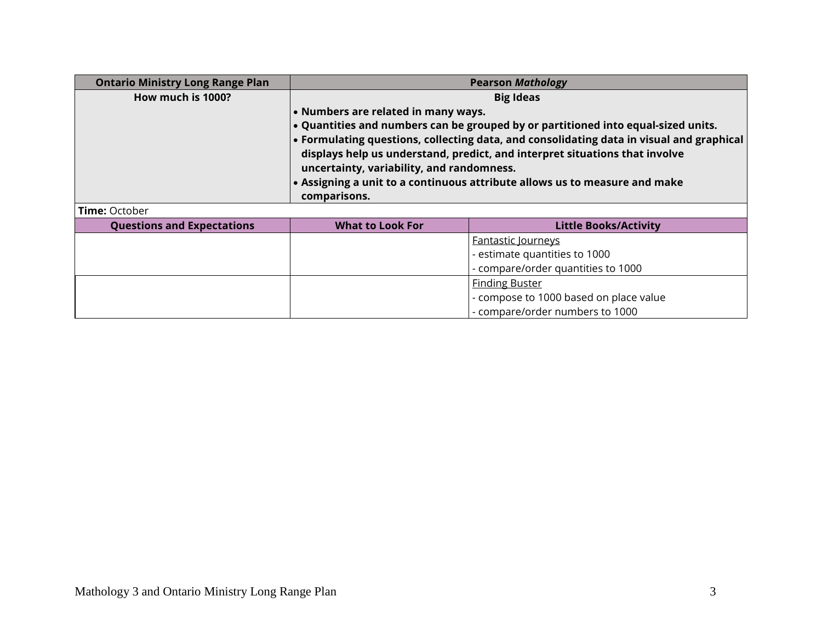| <b>Ontario Ministry Long Range Plan</b> | <b>Pearson Mathology</b>                                                   |                                                                                          |  |
|-----------------------------------------|----------------------------------------------------------------------------|------------------------------------------------------------------------------------------|--|
| How much is 1000?                       |                                                                            | <b>Big Ideas</b>                                                                         |  |
|                                         | • Numbers are related in many ways.                                        |                                                                                          |  |
|                                         |                                                                            | . Quantities and numbers can be grouped by or partitioned into equal-sized units.        |  |
|                                         |                                                                            | • Formulating questions, collecting data, and consolidating data in visual and graphical |  |
|                                         |                                                                            | displays help us understand, predict, and interpret situations that involve              |  |
|                                         | uncertainty, variability, and randomness.                                  |                                                                                          |  |
|                                         | • Assigning a unit to a continuous attribute allows us to measure and make |                                                                                          |  |
|                                         | comparisons.                                                               |                                                                                          |  |
| <b>Time: October</b>                    |                                                                            |                                                                                          |  |
| <b>Questions and Expectations</b>       | <b>What to Look For</b>                                                    | <b>Little Books/Activity</b>                                                             |  |
|                                         |                                                                            | <b>Fantastic lourneys</b>                                                                |  |
|                                         |                                                                            | - estimate quantities to 1000                                                            |  |
|                                         |                                                                            | - compare/order quantities to 1000                                                       |  |
|                                         |                                                                            | <b>Finding Buster</b>                                                                    |  |
|                                         |                                                                            | - compose to 1000 based on place value                                                   |  |
|                                         |                                                                            | - compare/order numbers to 1000                                                          |  |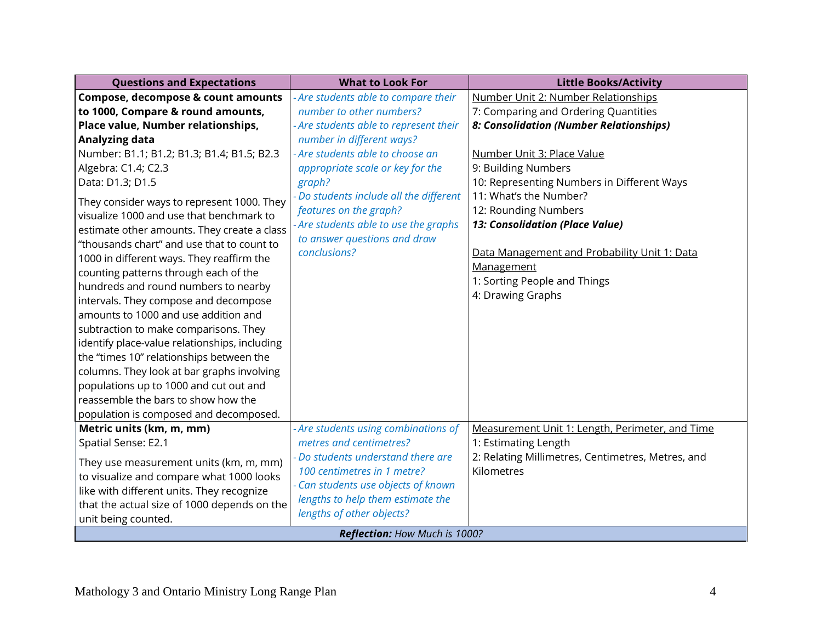| <b>Questions and Expectations</b>             | <b>What to Look For</b>                | <b>Little Books/Activity</b>                      |
|-----------------------------------------------|----------------------------------------|---------------------------------------------------|
| Compose, decompose & count amounts            | - Are students able to compare their   | Number Unit 2: Number Relationships               |
| to 1000, Compare & round amounts,             | number to other numbers?               | 7: Comparing and Ordering Quantities              |
| Place value, Number relationships,            | - Are students able to represent their | 8: Consolidation (Number Relationships)           |
| Analyzing data                                | number in different ways?              |                                                   |
| Number: B1.1; B1.2; B1.3; B1.4; B1.5; B2.3    | - Are students able to choose an       | Number Unit 3: Place Value                        |
| Algebra: C1.4; C2.3                           | appropriate scale or key for the       | 9: Building Numbers                               |
| Data: D1.3; D1.5                              | graph?                                 | 10: Representing Numbers in Different Ways        |
| They consider ways to represent 1000. They    | Do students include all the different  | 11: What's the Number?                            |
| visualize 1000 and use that benchmark to      | features on the graph?                 | 12: Rounding Numbers                              |
| estimate other amounts. They create a class   | - Are students able to use the graphs  | 13: Consolidation (Place Value)                   |
| "thousands chart" and use that to count to    | to answer questions and draw           |                                                   |
| 1000 in different ways. They reaffirm the     | conclusions?                           | Data Management and Probability Unit 1: Data      |
| counting patterns through each of the         |                                        | Management                                        |
| hundreds and round numbers to nearby          |                                        | 1: Sorting People and Things                      |
| intervals. They compose and decompose         |                                        | 4: Drawing Graphs                                 |
| amounts to 1000 and use addition and          |                                        |                                                   |
| subtraction to make comparisons. They         |                                        |                                                   |
| identify place-value relationships, including |                                        |                                                   |
| the "times 10" relationships between the      |                                        |                                                   |
| columns. They look at bar graphs involving    |                                        |                                                   |
| populations up to 1000 and cut out and        |                                        |                                                   |
| reassemble the bars to show how the           |                                        |                                                   |
| population is composed and decomposed.        |                                        |                                                   |
| Metric units (km, m, mm)                      | - Are students using combinations of   | Measurement Unit 1: Length, Perimeter, and Time   |
| Spatial Sense: E2.1                           | metres and centimetres?                | 1: Estimating Length                              |
| They use measurement units (km, m, mm)        | - Do students understand there are     | 2: Relating Millimetres, Centimetres, Metres, and |
| to visualize and compare what 1000 looks      | 100 centimetres in 1 metre?            | Kilometres                                        |
| like with different units. They recognize     | - Can students use objects of known    |                                                   |
| that the actual size of 1000 depends on the   | lengths to help them estimate the      |                                                   |
| unit being counted.                           | lengths of other objects?              |                                                   |
| Reflection: How Much is 1000?                 |                                        |                                                   |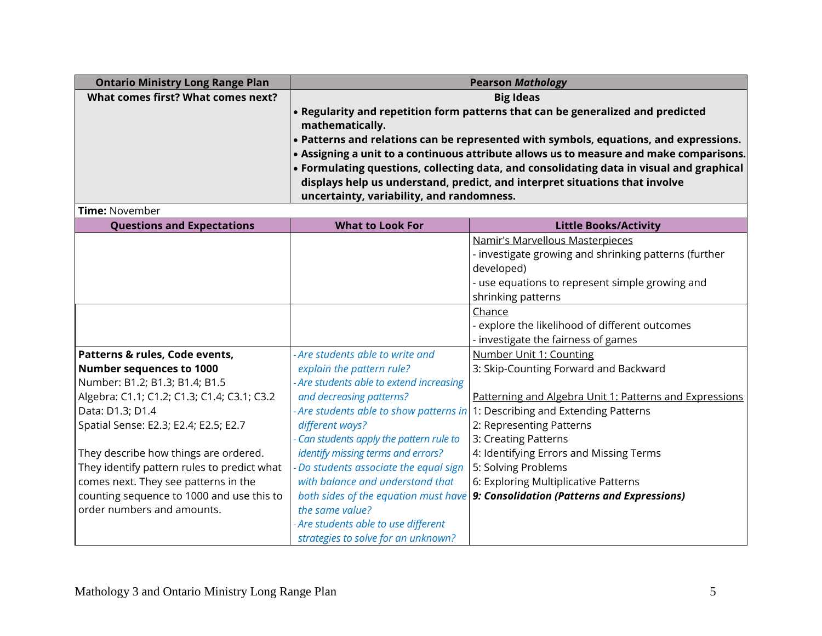| <b>Ontario Ministry Long Range Plan</b>     | <b>Pearson Mathology</b>                  |                                                                                          |
|---------------------------------------------|-------------------------------------------|------------------------------------------------------------------------------------------|
| What comes first? What comes next?          | <b>Big Ideas</b>                          |                                                                                          |
|                                             |                                           | . Regularity and repetition form patterns that can be generalized and predicted          |
|                                             | mathematically.                           |                                                                                          |
|                                             |                                           | • Patterns and relations can be represented with symbols, equations, and expressions.    |
|                                             |                                           | • Assigning a unit to a continuous attribute allows us to measure and make comparisons.  |
|                                             |                                           | • Formulating questions, collecting data, and consolidating data in visual and graphical |
|                                             |                                           | displays help us understand, predict, and interpret situations that involve              |
|                                             | uncertainty, variability, and randomness. |                                                                                          |
| <b>Time: November</b>                       |                                           |                                                                                          |
| <b>Questions and Expectations</b>           | <b>What to Look For</b>                   | <b>Little Books/Activity</b>                                                             |
|                                             |                                           | Namir's Marvellous Masterpieces<br>- investigate growing and shrinking patterns (further |
|                                             |                                           | developed)                                                                               |
|                                             |                                           | - use equations to represent simple growing and                                          |
|                                             |                                           | shrinking patterns                                                                       |
|                                             |                                           | Chance                                                                                   |
|                                             |                                           | - explore the likelihood of different outcomes                                           |
|                                             |                                           | - investigate the fairness of games                                                      |
| Patterns & rules, Code events,              | Are students able to write and            | Number Unit 1: Counting                                                                  |
| Number sequences to 1000                    | explain the pattern rule?                 | 3: Skip-Counting Forward and Backward                                                    |
| Number: B1.2; B1.3; B1.4; B1.5              | - Are students able to extend increasing  |                                                                                          |
| Algebra: C1.1; C1.2; C1.3; C1.4; C3.1; C3.2 | and decreasing patterns?                  | Patterning and Algebra Unit 1: Patterns and Expressions                                  |
| Data: D1.3; D1.4                            | Are students able to show patterns in     | 1: Describing and Extending Patterns                                                     |
| Spatial Sense: E2.3; E2.4; E2.5; E2.7       | different ways?                           | 2: Representing Patterns                                                                 |
|                                             | Can students apply the pattern rule to    | 3: Creating Patterns                                                                     |
| They describe how things are ordered.       | identify missing terms and errors?        | 4: Identifying Errors and Missing Terms                                                  |
| They identify pattern rules to predict what | Do students associate the equal sign      | 5: Solving Problems                                                                      |
| comes next. They see patterns in the        | with balance and understand that          | 6: Exploring Multiplicative Patterns                                                     |
| counting sequence to 1000 and use this to   |                                           | both sides of the equation must have 9: Consolidation (Patterns and Expressions)         |
| order numbers and amounts.                  | the same value?                           |                                                                                          |
|                                             | Are students able to use different        |                                                                                          |
|                                             | strategies to solve for an unknown?       |                                                                                          |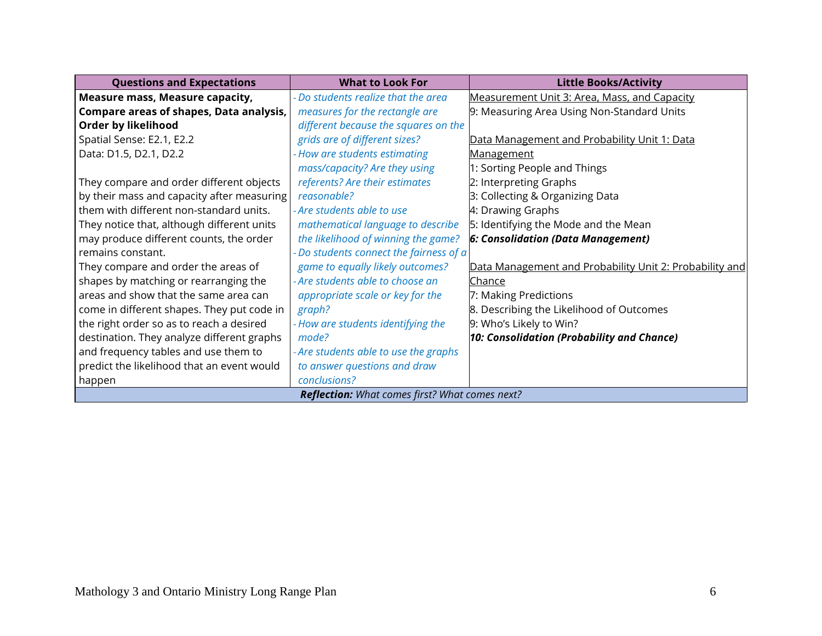| <b>Questions and Expectations</b>                     | <b>What to Look For</b>                 | <b>Little Books/Activity</b>                            |
|-------------------------------------------------------|-----------------------------------------|---------------------------------------------------------|
| Measure mass, Measure capacity,                       | - Do students realize that the area     | Measurement Unit 3: Area, Mass, and Capacity            |
| <b>Compare areas of shapes, Data analysis,</b>        | measures for the rectangle are          | 9: Measuring Area Using Non-Standard Units              |
| Order by likelihood                                   | different because the squares on the    |                                                         |
| Spatial Sense: E2.1, E2.2                             | grids are of different sizes?           | Data Management and Probability Unit 1: Data            |
| Data: D1.5, D2.1, D2.2                                | - How are students estimating           | <b>Management</b>                                       |
|                                                       | mass/capacity? Are they using           | 1: Sorting People and Things                            |
| They compare and order different objects              | referents? Are their estimates          | 2: Interpreting Graphs                                  |
| by their mass and capacity after measuring            | reasonable?                             | 3: Collecting & Organizing Data                         |
| them with different non-standard units.               | - Are students able to use              | 4: Drawing Graphs                                       |
| They notice that, although different units            | mathematical language to describe       | 5: Identifying the Mode and the Mean                    |
| may produce different counts, the order               | the likelihood of winning the game?     | <b>6: Consolidation (Data Management)</b>               |
| remains constant.                                     | - Do students connect the fairness of a |                                                         |
| They compare and order the areas of                   | game to equally likely outcomes?        | Data Management and Probability Unit 2: Probability and |
| shapes by matching or rearranging the                 | - Are students able to choose an        | Chance                                                  |
| areas and show that the same area can                 | appropriate scale or key for the        | 7: Making Predictions                                   |
| come in different shapes. They put code in            | graph?                                  | 8. Describing the Likelihood of Outcomes                |
| the right order so as to reach a desired              | - How are students identifying the      | 9: Who's Likely to Win?                                 |
| destination. They analyze different graphs            | mode?                                   | 10: Consolidation (Probability and Chance)              |
| and frequency tables and use them to                  | - Are students able to use the graphs   |                                                         |
| predict the likelihood that an event would            | to answer questions and draw            |                                                         |
| happen                                                | conclusions?                            |                                                         |
| <b>Reflection:</b> What comes first? What comes next? |                                         |                                                         |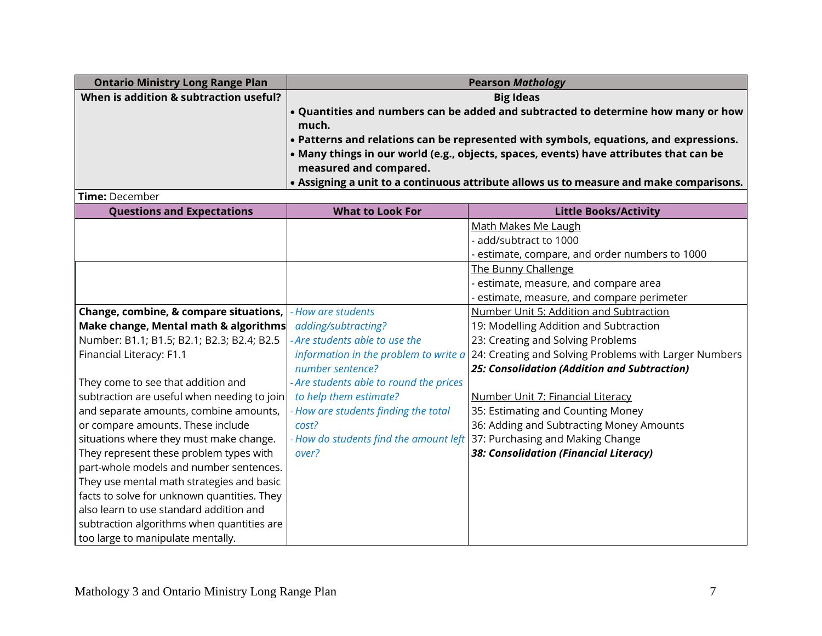| <b>Ontario Ministry Long Range Plan</b> | <b>Pearson Mathology</b>                                                                                                                                                                                                                                                                                                 |
|-----------------------------------------|--------------------------------------------------------------------------------------------------------------------------------------------------------------------------------------------------------------------------------------------------------------------------------------------------------------------------|
| When is addition & subtraction useful?  | <b>Big Ideas</b>                                                                                                                                                                                                                                                                                                         |
|                                         | $\bullet$ Quantities and numbers can be added and subtracted to determine how many or how<br>much.                                                                                                                                                                                                                       |
|                                         | $\cdot$ Patterns and relations can be represented with symbols, equations, and expressions.<br>$\cdot$ Many things in our world (e.g., objects, spaces, events) have attributes that can be<br>measured and compared.<br>$\bullet$ Assigning a unit to a continuous attribute allows us to measure and make comparisons. |

**Time:** December

| <u>Time. Deceniber</u>                      |                                         |                                                       |
|---------------------------------------------|-----------------------------------------|-------------------------------------------------------|
| <b>Questions and Expectations</b>           | <b>What to Look For</b>                 | <b>Little Books/Activity</b>                          |
|                                             |                                         | Math Makes Me Laugh                                   |
|                                             |                                         | - add/subtract to 1000                                |
|                                             |                                         | estimate, compare, and order numbers to 1000          |
|                                             |                                         | The Bunny Challenge                                   |
|                                             |                                         | - estimate, measure, and compare area                 |
|                                             |                                         | estimate, measure, and compare perimeter              |
| Change, combine, & compare situations,      | - How are students                      | Number Unit 5: Addition and Subtraction               |
| Make change, Mental math & algorithms       | adding/subtracting?                     | 19: Modelling Addition and Subtraction                |
| Number: B1.1; B1.5; B2.1; B2.3; B2.4; B2.5  | - Are students able to use the          | 23: Creating and Solving Problems                     |
| Financial Literacy: F1.1                    | information in the problem to write a   | 24: Creating and Solving Problems with Larger Numbers |
|                                             | number sentence?                        | 25: Consolidation (Addition and Subtraction)          |
| They come to see that addition and          | - Are students able to round the prices |                                                       |
| subtraction are useful when needing to join | to help them estimate?                  | Number Unit 7: Financial Literacy                     |
| and separate amounts, combine amounts,      | - How are students finding the total    | 35: Estimating and Counting Money                     |
| or compare amounts. These include           | cost?                                   | 36: Adding and Subtracting Money Amounts              |
| situations where they must make change.     | - How do students find the amount left  | 37: Purchasing and Making Change                      |
| They represent these problem types with     | over?                                   | 38: Consolidation (Financial Literacy)                |
| part-whole models and number sentences.     |                                         |                                                       |
| They use mental math strategies and basic   |                                         |                                                       |
| facts to solve for unknown quantities. They |                                         |                                                       |
| also learn to use standard addition and     |                                         |                                                       |
| subtraction algorithms when quantities are  |                                         |                                                       |
| too large to manipulate mentally.           |                                         |                                                       |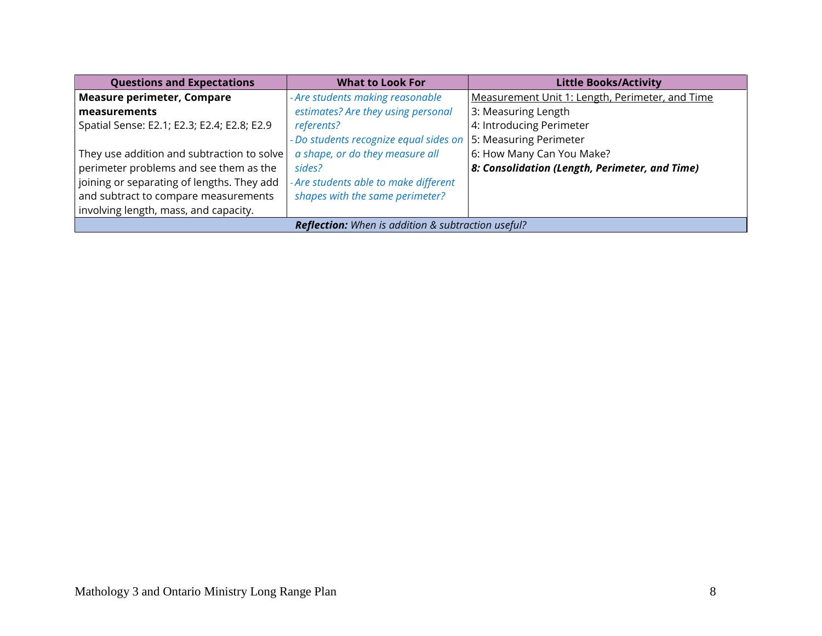| <b>Questions and Expectations</b>                         | <b>What to Look For</b>                | <b>Little Books/Activity</b>                           |
|-----------------------------------------------------------|----------------------------------------|--------------------------------------------------------|
| <b>Measure perimeter, Compare</b>                         | - Are students making reasonable       | Measurement Unit 1: Length, Perimeter, and Time        |
| measurements                                              | estimates? Are they using personal     | 3: Measuring Length                                    |
| Spatial Sense: E2.1; E2.3; E2.4; E2.8; E2.9               | referents?                             | 4: Introducing Perimeter                               |
|                                                           | - Do students recognize equal sides on | 5: Measuring Perimeter                                 |
| They use addition and subtraction to solve                | a shape, or do they measure all        | 6: How Many Can You Make?                              |
| perimeter problems and see them as the                    | sides?                                 | $\vert$ 8: Consolidation (Length, Perimeter, and Time) |
| joining or separating of lengths. They add                | - Are students able to make different  |                                                        |
| and subtract to compare measurements                      | shapes with the same perimeter?        |                                                        |
| involving length, mass, and capacity.                     |                                        |                                                        |
| <b>Reflection:</b> When is addition & subtraction useful? |                                        |                                                        |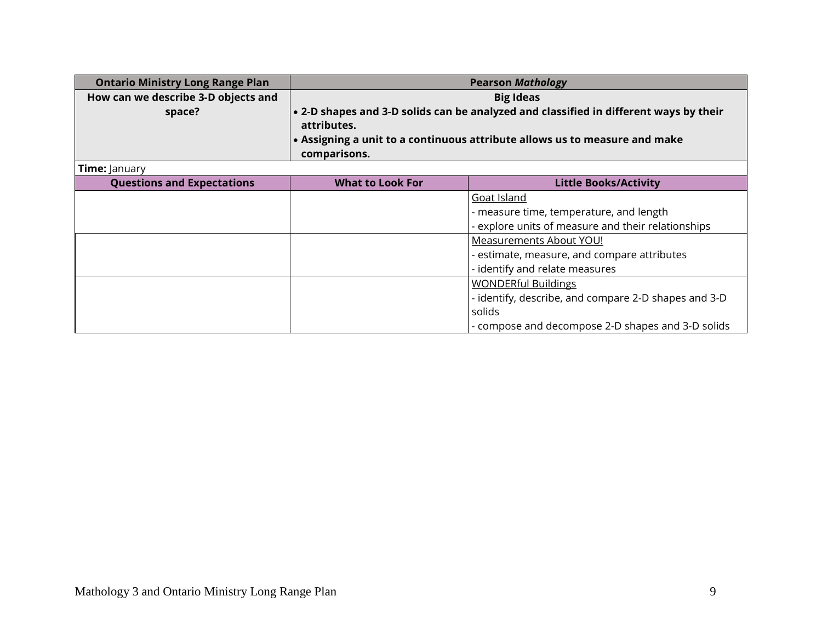| <b>Ontario Ministry Long Range Plan</b> | <b>Pearson Mathology</b> |                                                                                       |
|-----------------------------------------|--------------------------|---------------------------------------------------------------------------------------|
| How can we describe 3-D objects and     | <b>Big Ideas</b>         |                                                                                       |
| space?                                  |                          | • 2-D shapes and 3-D solids can be analyzed and classified in different ways by their |
|                                         | attributes.              |                                                                                       |
|                                         |                          | • Assigning a unit to a continuous attribute allows us to measure and make            |
|                                         | comparisons.             |                                                                                       |
| <b>Time: January</b>                    |                          |                                                                                       |
| <b>Questions and Expectations</b>       | <b>What to Look For</b>  | <b>Little Books/Activity</b>                                                          |
|                                         |                          | Goat Island                                                                           |
|                                         |                          | - measure time, temperature, and length                                               |
|                                         |                          | - explore units of measure and their relationships                                    |
|                                         |                          | <b>Measurements About YOU!</b>                                                        |
|                                         |                          | - estimate, measure, and compare attributes                                           |
|                                         |                          | - identify and relate measures                                                        |
|                                         |                          | <b>WONDERful Buildings</b>                                                            |
|                                         |                          | - identify, describe, and compare 2-D shapes and 3-D                                  |
|                                         |                          | solids                                                                                |
|                                         |                          | - compose and decompose 2-D shapes and 3-D solids                                     |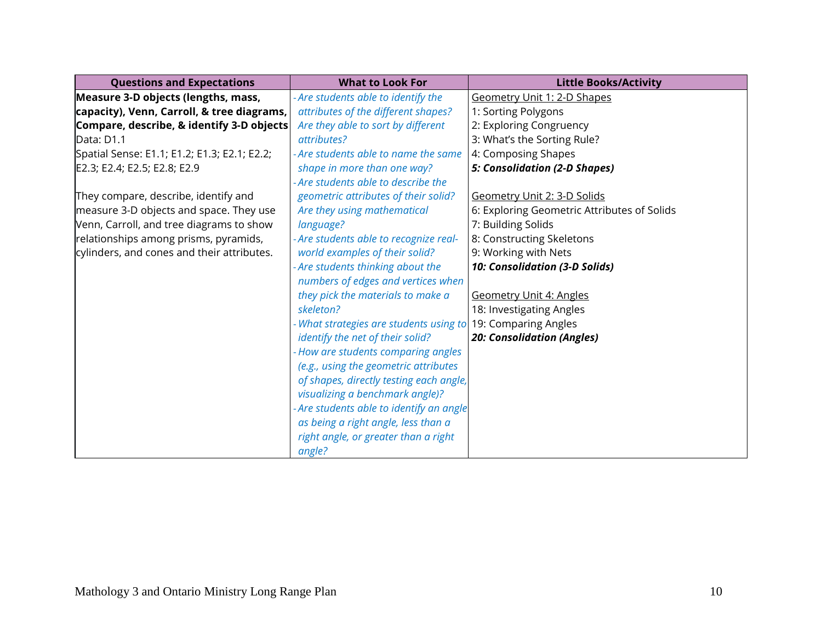| <b>Questions and Expectations</b>            | <b>What to Look For</b>                  | <b>Little Books/Activity</b>                |
|----------------------------------------------|------------------------------------------|---------------------------------------------|
| Measure 3-D objects (lengths, mass,          | - Are students able to identify the      | Geometry Unit 1: 2-D Shapes                 |
| capacity), Venn, Carroll, & tree diagrams,   | attributes of the different shapes?      | 1: Sorting Polygons                         |
| Compare, describe, & identify 3-D objects    | Are they able to sort by different       | 2: Exploring Congruency                     |
| Data: D1.1                                   | attributes?                              | 3: What's the Sorting Rule?                 |
| Spatial Sense: E1.1; E1.2; E1.3; E2.1; E2.2; | - Are students able to name the same     | 4: Composing Shapes                         |
| E2.3; E2.4; E2.5; E2.8; E2.9                 | shape in more than one way?              | <b>5: Consolidation (2-D Shapes)</b>        |
|                                              | - Are students able to describe the      |                                             |
| They compare, describe, identify and         | geometric attributes of their solid?     | Geometry Unit 2: 3-D Solids                 |
| measure 3-D objects and space. They use      | Are they using mathematical              | 6: Exploring Geometric Attributes of Solids |
| Venn, Carroll, and tree diagrams to show     | language?                                | 7: Building Solids                          |
| relationships among prisms, pyramids,        | - Are students able to recognize real-   | 8: Constructing Skeletons                   |
| cylinders, and cones and their attributes.   | world examples of their solid?           | 9: Working with Nets                        |
|                                              | - Are students thinking about the        | 10: Consolidation (3-D Solids)              |
|                                              | numbers of edges and vertices when       |                                             |
|                                              | they pick the materials to make a        | <b>Geometry Unit 4: Angles</b>              |
|                                              | skeleton?                                | 18: Investigating Angles                    |
|                                              | - What strategies are students using to  | 19: Comparing Angles                        |
|                                              | identify the net of their solid?         | <b>20: Consolidation (Angles)</b>           |
|                                              | - How are students comparing angles      |                                             |
|                                              | (e.g., using the geometric attributes    |                                             |
|                                              | of shapes, directly testing each angle,  |                                             |
|                                              | visualizing a benchmark angle)?          |                                             |
|                                              | - Are students able to identify an angle |                                             |
|                                              | as being a right angle, less than a      |                                             |
|                                              | right angle, or greater than a right     |                                             |
|                                              | angle?                                   |                                             |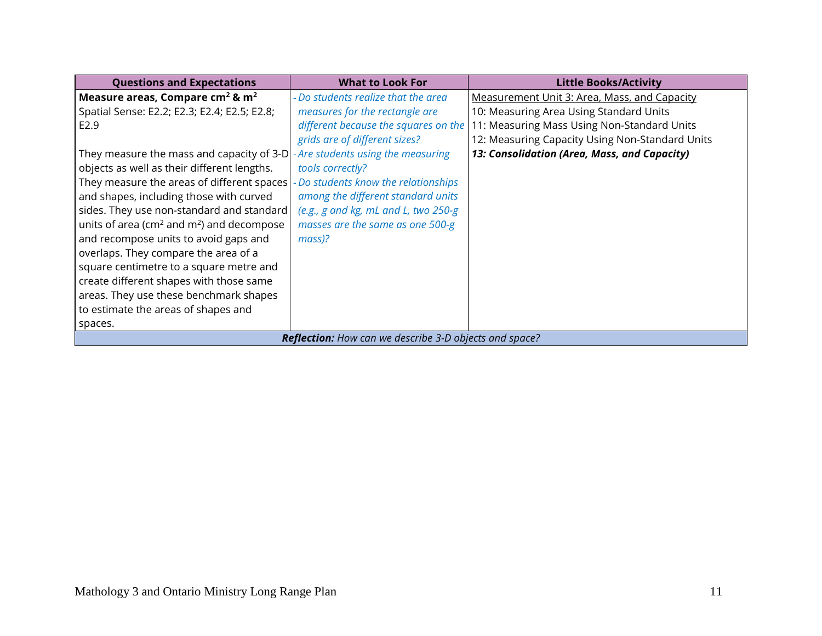| <b>Questions and Expectations</b>                              | <b>What to Look For</b>              | <b>Little Books/Activity</b>                    |
|----------------------------------------------------------------|--------------------------------------|-------------------------------------------------|
| Measure areas, Compare cm <sup>2</sup> & m <sup>2</sup>        | - Do students realize that the area  | Measurement Unit 3: Area, Mass, and Capacity    |
| Spatial Sense: E2.2; E2.3; E2.4; E2.5; E2.8;                   | measures for the rectangle are       | 10: Measuring Area Using Standard Units         |
| E <sub>2.9</sub>                                               | different because the squares on the | 11: Measuring Mass Using Non-Standard Units     |
|                                                                | grids are of different sizes?        | 12: Measuring Capacity Using Non-Standard Units |
| They measure the mass and capacity of 3-D                      | - Are students using the measuring   | 13: Consolidation (Area, Mass, and Capacity)    |
| objects as well as their different lengths.                    | tools correctly?                     |                                                 |
| They measure the areas of different spaces                     | - Do students know the relationships |                                                 |
| and shapes, including those with curved                        | among the different standard units   |                                                 |
| sides. They use non-standard and standard                      | (e.g., g and kg, mL and L, two 250-g |                                                 |
| units of area ( $\text{cm}^2$ and $\text{m}^2$ ) and decompose | masses are the same as one 500-g     |                                                 |
| and recompose units to avoid gaps and                          | $mass$ ?                             |                                                 |
| overlaps. They compare the area of a                           |                                      |                                                 |
| square centimetre to a square metre and                        |                                      |                                                 |
| create different shapes with those same                        |                                      |                                                 |
| areas. They use these benchmark shapes                         |                                      |                                                 |
| to estimate the areas of shapes and                            |                                      |                                                 |
| spaces.                                                        |                                      |                                                 |
| <b>Reflection:</b> How can we describe 3-D objects and space?  |                                      |                                                 |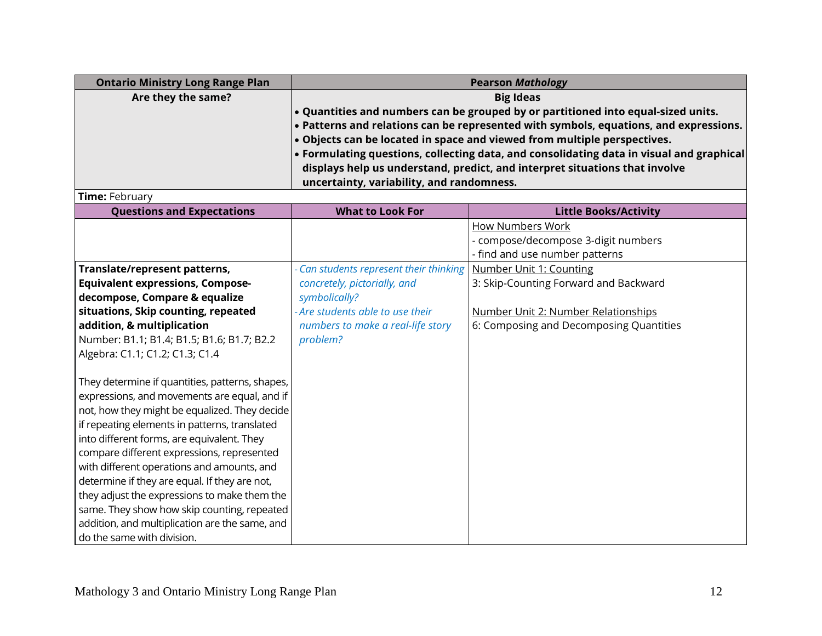| <b>Ontario Ministry Long Range Plan</b>         | <b>Pearson Mathology</b>                                                          |                                                                                          |
|-------------------------------------------------|-----------------------------------------------------------------------------------|------------------------------------------------------------------------------------------|
| Are they the same?                              |                                                                                   | <b>Big Ideas</b>                                                                         |
|                                                 | . Quantities and numbers can be grouped by or partitioned into equal-sized units. |                                                                                          |
|                                                 |                                                                                   | • Patterns and relations can be represented with symbols, equations, and expressions.    |
|                                                 |                                                                                   | . Objects can be located in space and viewed from multiple perspectives.                 |
|                                                 |                                                                                   | • Formulating questions, collecting data, and consolidating data in visual and graphical |
|                                                 |                                                                                   | displays help us understand, predict, and interpret situations that involve              |
| Time: February                                  | uncertainty, variability, and randomness.                                         |                                                                                          |
| <b>Questions and Expectations</b>               | <b>What to Look For</b>                                                           | <b>Little Books/Activity</b>                                                             |
|                                                 |                                                                                   | <b>How Numbers Work</b>                                                                  |
|                                                 |                                                                                   | - compose/decompose 3-digit numbers                                                      |
|                                                 |                                                                                   | - find and use number patterns                                                           |
| Translate/represent patterns,                   | - Can students represent their thinking                                           | Number Unit 1: Counting                                                                  |
| <b>Equivalent expressions, Compose-</b>         | concretely, pictorially, and                                                      | 3: Skip-Counting Forward and Backward                                                    |
| decompose, Compare & equalize                   | symbolically?                                                                     |                                                                                          |
| situations, Skip counting, repeated             | - Are students able to use their                                                  | Number Unit 2: Number Relationships                                                      |
| addition, & multiplication                      | numbers to make a real-life story                                                 | 6: Composing and Decomposing Quantities                                                  |
| Number: B1.1; B1.4; B1.5; B1.6; B1.7; B2.2      | problem?                                                                          |                                                                                          |
| Algebra: C1.1; C1.2; C1.3; C1.4                 |                                                                                   |                                                                                          |
|                                                 |                                                                                   |                                                                                          |
| They determine if quantities, patterns, shapes, |                                                                                   |                                                                                          |
| expressions, and movements are equal, and if    |                                                                                   |                                                                                          |
| not, how they might be equalized. They decide   |                                                                                   |                                                                                          |
| if repeating elements in patterns, translated   |                                                                                   |                                                                                          |
| into different forms, are equivalent. They      |                                                                                   |                                                                                          |
| compare different expressions, represented      |                                                                                   |                                                                                          |
| with different operations and amounts, and      |                                                                                   |                                                                                          |
| determine if they are equal. If they are not,   |                                                                                   |                                                                                          |
| they adjust the expressions to make them the    |                                                                                   |                                                                                          |
| same. They show how skip counting, repeated     |                                                                                   |                                                                                          |
| addition, and multiplication are the same, and  |                                                                                   |                                                                                          |
| do the same with division.                      |                                                                                   |                                                                                          |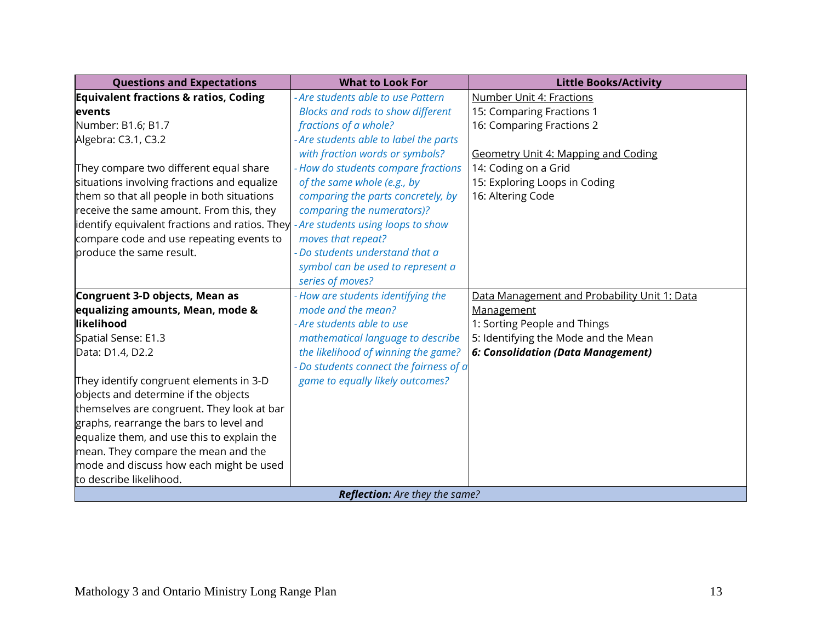| <b>Questions and Expectations</b>                | <b>What to Look For</b>                  | <b>Little Books/Activity</b>                 |
|--------------------------------------------------|------------------------------------------|----------------------------------------------|
| <b>Equivalent fractions &amp; ratios, Coding</b> | - Are students able to use Pattern       | Number Unit 4: Fractions                     |
| levents                                          | <b>Blocks and rods to show different</b> | 15: Comparing Fractions 1                    |
| Number: B1.6; B1.7                               | fractions of a whole?                    | 16: Comparing Fractions 2                    |
| Algebra: C3.1, C3.2                              | - Are students able to label the parts   |                                              |
|                                                  | with fraction words or symbols?          | Geometry Unit 4: Mapping and Coding          |
| They compare two different equal share           | - How do students compare fractions      | 14: Coding on a Grid                         |
| situations involving fractions and equalize      | of the same whole (e.g., by              | 15: Exploring Loops in Coding                |
| them so that all people in both situations       | comparing the parts concretely, by       | 16: Altering Code                            |
| receive the same amount. From this, they         | comparing the numerators)?               |                                              |
| identify equivalent fractions and ratios. They   | - Are students using loops to show       |                                              |
| compare code and use repeating events to         | moves that repeat?                       |                                              |
| produce the same result.                         | - Do students understand that a          |                                              |
|                                                  | symbol can be used to represent a        |                                              |
|                                                  | series of moves?                         |                                              |
| Congruent 3-D objects, Mean as                   | - How are students identifying the       | Data Management and Probability Unit 1: Data |
| equalizing amounts, Mean, mode &                 | mode and the mean?                       | Management                                   |
| likelihood                                       | - Are students able to use               | 1: Sorting People and Things                 |
| Spatial Sense: E1.3                              | mathematical language to describe        | 5: Identifying the Mode and the Mean         |
| Data: D1.4, D2.2                                 | the likelihood of winning the game?      | 6: Consolidation (Data Management)           |
|                                                  | Do students connect the fairness of a    |                                              |
| They identify congruent elements in 3-D          | game to equally likely outcomes?         |                                              |
| objects and determine if the objects             |                                          |                                              |
| themselves are congruent. They look at bar       |                                          |                                              |
| graphs, rearrange the bars to level and          |                                          |                                              |
| equalize them, and use this to explain the       |                                          |                                              |
| mean. They compare the mean and the              |                                          |                                              |
| mode and discuss how each might be used          |                                          |                                              |
| to describe likelihood.                          |                                          |                                              |
| <b>Reflection:</b> Are they the same?            |                                          |                                              |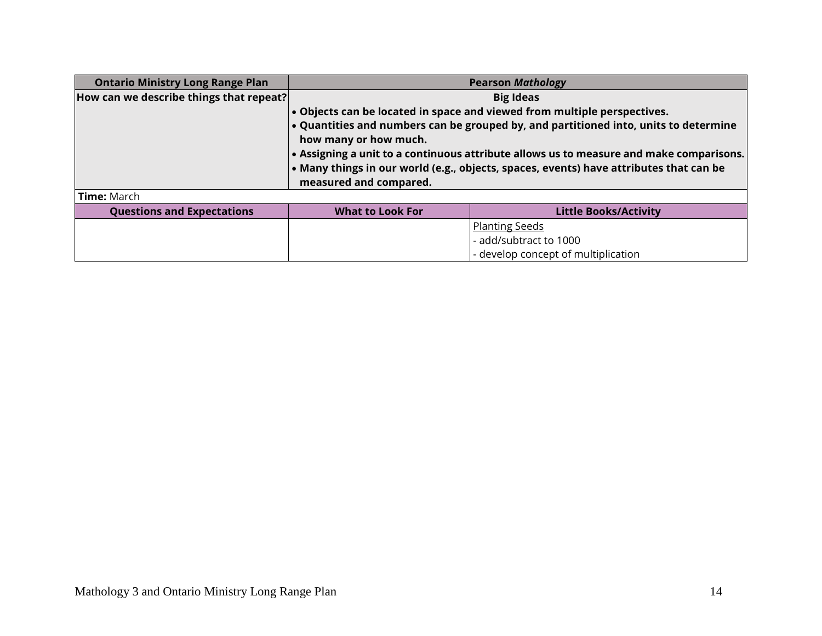| <b>Ontario Ministry Long Range Plan</b> | <b>Pearson Mathology</b>                                                                |                                     |
|-----------------------------------------|-----------------------------------------------------------------------------------------|-------------------------------------|
| How can we describe things that repeat? | <b>Big Ideas</b>                                                                        |                                     |
|                                         | . Objects can be located in space and viewed from multiple perspectives.                |                                     |
|                                         | . Quantities and numbers can be grouped by, and partitioned into, units to determine    |                                     |
|                                         | how many or how much.                                                                   |                                     |
|                                         | • Assigning a unit to a continuous attribute allows us to measure and make comparisons. |                                     |
|                                         | • Many things in our world (e.g., objects, spaces, events) have attributes that can be  |                                     |
|                                         | measured and compared.                                                                  |                                     |
| Time: March                             |                                                                                         |                                     |
| <b>Questions and Expectations</b>       | <b>What to Look For</b>                                                                 | <b>Little Books/Activity</b>        |
|                                         |                                                                                         | <b>Planting Seeds</b>               |
|                                         |                                                                                         | - add/subtract to 1000              |
|                                         |                                                                                         | - develop concept of multiplication |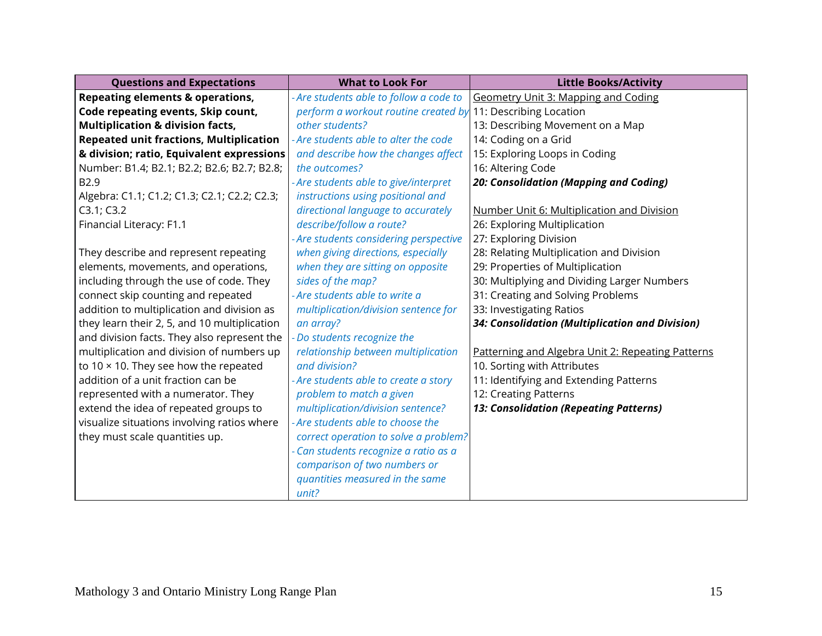| <b>Questions and Expectations</b>              | <b>What to Look For</b>                 | <b>Little Books/Activity</b>                      |
|------------------------------------------------|-----------------------------------------|---------------------------------------------------|
| <b>Repeating elements &amp; operations,</b>    | - Are students able to follow a code to | Geometry Unit 3: Mapping and Coding               |
| Code repeating events, Skip count,             | perform a workout routine created by    | 11: Describing Location                           |
| <b>Multiplication &amp; division facts,</b>    | other students?                         | 13: Describing Movement on a Map                  |
| <b>Repeated unit fractions, Multiplication</b> | - Are students able to alter the code   | 14: Coding on a Grid                              |
| & division; ratio, Equivalent expressions      | and describe how the changes affect     | 15: Exploring Loops in Coding                     |
| Number: B1.4; B2.1; B2.2; B2.6; B2.7; B2.8;    | the outcomes?                           | 16: Altering Code                                 |
| B <sub>2.9</sub>                               | Are students able to give/interpret     | 20: Consolidation (Mapping and Coding)            |
| Algebra: C1.1; C1.2; C1.3; C2.1; C2.2; C2.3;   | instructions using positional and       |                                                   |
| C3.1; C3.2                                     | directional language to accurately      | Number Unit 6: Multiplication and Division        |
| Financial Literacy: F1.1                       | describe/follow a route?                | 26: Exploring Multiplication                      |
|                                                | Are students considering perspective    | 27: Exploring Division                            |
| They describe and represent repeating          | when giving directions, especially      | 28: Relating Multiplication and Division          |
| elements, movements, and operations,           | when they are sitting on opposite       | 29: Properties of Multiplication                  |
| including through the use of code. They        | sides of the map?                       | 30: Multiplying and Dividing Larger Numbers       |
| connect skip counting and repeated             | Are students able to write a            | 31: Creating and Solving Problems                 |
| addition to multiplication and division as     | multiplication/division sentence for    | 33: Investigating Ratios                          |
| they learn their 2, 5, and 10 multiplication   | an array?                               | 34: Consolidation (Multiplication and Division)   |
| and division facts. They also represent the    | Do students recognize the               |                                                   |
| multiplication and division of numbers up      | relationship between multiplication     | Patterning and Algebra Unit 2: Repeating Patterns |
| to 10 $\times$ 10. They see how the repeated   | and division?                           | 10. Sorting with Attributes                       |
| addition of a unit fraction can be             | - Are students able to create a story   | 11: Identifying and Extending Patterns            |
| represented with a numerator. They             | problem to match a given                | 12: Creating Patterns                             |
| extend the idea of repeated groups to          | multiplication/division sentence?       | 13: Consolidation (Repeating Patterns)            |
| visualize situations involving ratios where    | - Are students able to choose the       |                                                   |
| they must scale quantities up.                 | correct operation to solve a problem?   |                                                   |
|                                                | Can students recognize a ratio as a     |                                                   |
|                                                | comparison of two numbers or            |                                                   |
|                                                | quantities measured in the same         |                                                   |
|                                                | unit?                                   |                                                   |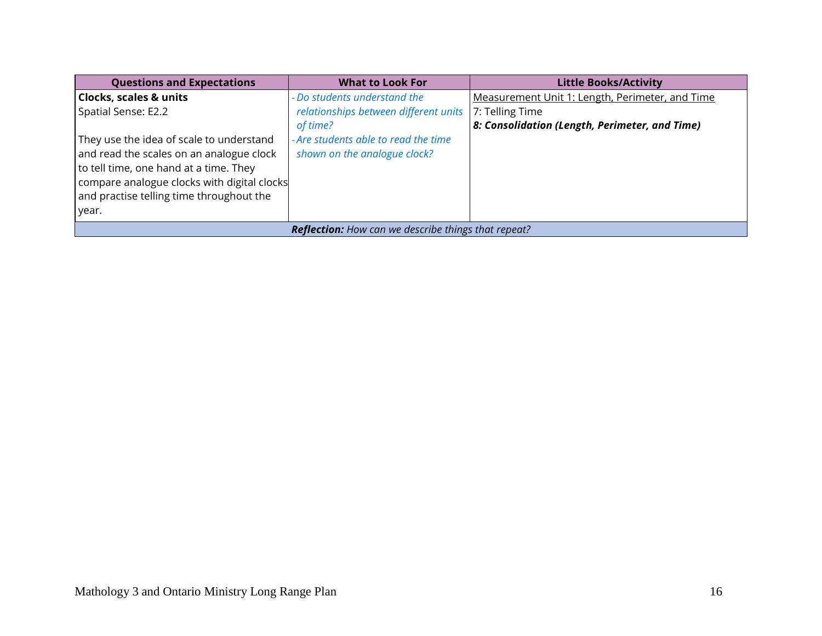| <b>Questions and Expectations</b>                          | <b>What to Look For</b>               | <b>Little Books/Activity</b>                    |
|------------------------------------------------------------|---------------------------------------|-------------------------------------------------|
| Clocks, scales & units                                     | - Do students understand the          | Measurement Unit 1: Length, Perimeter, and Time |
| Spatial Sense: E2.2                                        | relationships between different units | 7: Telling Time                                 |
|                                                            | of time?                              | 8: Consolidation (Length, Perimeter, and Time)  |
| They use the idea of scale to understand                   | - Are students able to read the time  |                                                 |
| and read the scales on an analogue clock                   | shown on the analogue clock?          |                                                 |
| to tell time, one hand at a time. They                     |                                       |                                                 |
| compare analogue clocks with digital clocks                |                                       |                                                 |
| and practise telling time throughout the                   |                                       |                                                 |
| year.                                                      |                                       |                                                 |
| <b>Reflection:</b> How can we describe things that repeat? |                                       |                                                 |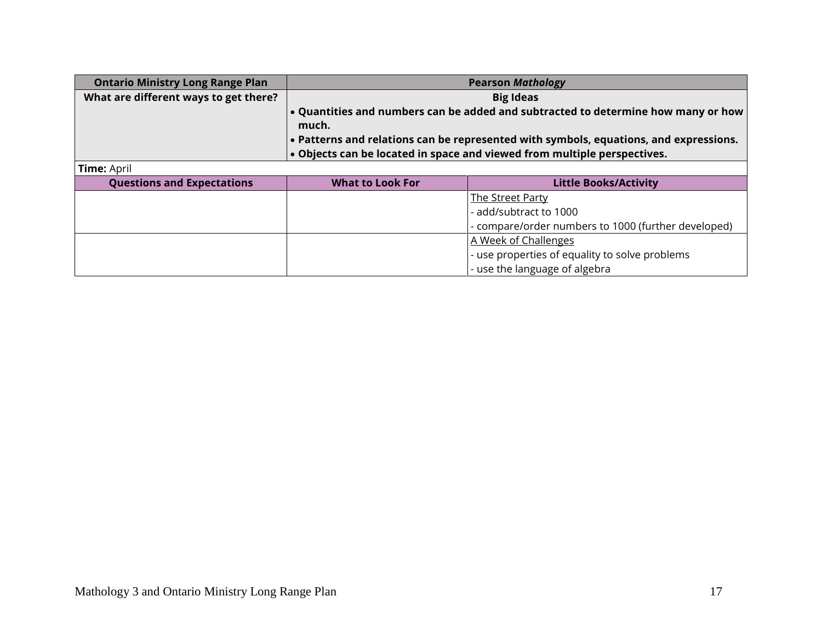| <b>Ontario Ministry Long Range Plan</b> | <b>Pearson Mathology</b>                                                                   |                                                     |  |
|-----------------------------------------|--------------------------------------------------------------------------------------------|-----------------------------------------------------|--|
| What are different ways to get there?   | <b>Big Ideas</b>                                                                           |                                                     |  |
|                                         | • Quantities and numbers can be added and subtracted to determine how many or how<br>much. |                                                     |  |
|                                         | • Patterns and relations can be represented with symbols, equations, and expressions.      |                                                     |  |
|                                         | . Objects can be located in space and viewed from multiple perspectives.                   |                                                     |  |
| <b>Time: April</b>                      |                                                                                            |                                                     |  |
| <b>Questions and Expectations</b>       | <b>What to Look For</b>                                                                    | <b>Little Books/Activity</b>                        |  |
|                                         |                                                                                            | <b>The Street Party</b>                             |  |
|                                         |                                                                                            | - add/subtract to 1000                              |  |
|                                         |                                                                                            | - compare/order numbers to 1000 (further developed) |  |
|                                         |                                                                                            | A Week of Challenges                                |  |
|                                         |                                                                                            | - use properties of equality to solve problems      |  |
|                                         |                                                                                            | - use the language of algebra                       |  |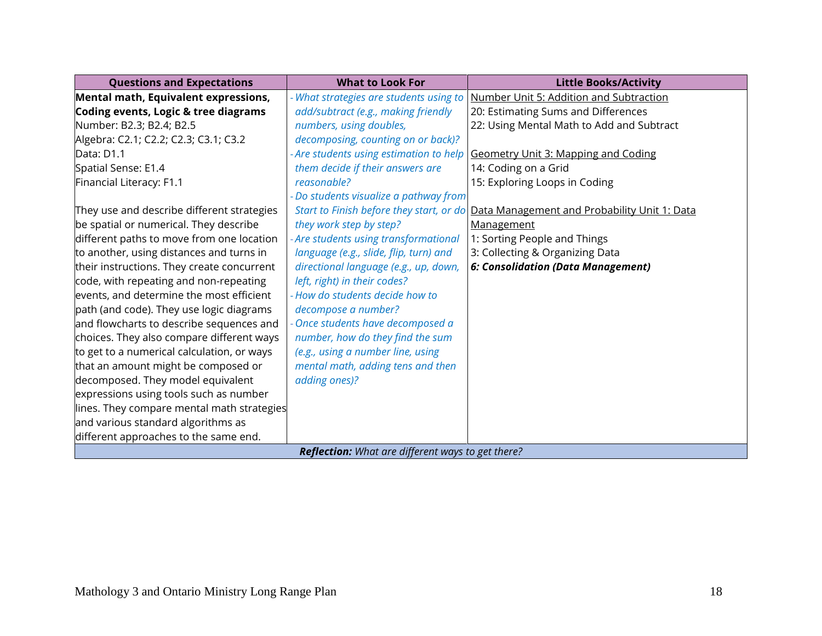| <b>Questions and Expectations</b>                 | <b>What to Look For</b>                  | <b>Little Books/Activity</b>                 |
|---------------------------------------------------|------------------------------------------|----------------------------------------------|
| Mental math, Equivalent expressions,              | - What strategies are students using to  | Number Unit 5: Addition and Subtraction      |
| Coding events, Logic & tree diagrams              | add/subtract (e.g., making friendly      | 20: Estimating Sums and Differences          |
| Number: B2.3; B2.4; B2.5                          | numbers, using doubles,                  | 22: Using Mental Math to Add and Subtract    |
| Algebra: C2.1; C2.2; C2.3; C3.1; C3.2             | decomposing, counting on or back)?       |                                              |
| Data: D1.1                                        | - Are students using estimation to help  | Geometry Unit 3: Mapping and Coding          |
| Spatial Sense: E1.4                               | them decide if their answers are         | 14: Coding on a Grid                         |
| Financial Literacy: F1.1                          | reasonable?                              | 15: Exploring Loops in Coding                |
|                                                   | - Do students visualize a pathway from   |                                              |
| They use and describe different strategies        | Start to Finish before they start, or do | Data Management and Probability Unit 1: Data |
| be spatial or numerical. They describe            | they work step by step?                  | Management                                   |
| different paths to move from one location         | - Are students using transformational    | 1: Sorting People and Things                 |
| to another, using distances and turns in          | language (e.g., slide, flip, turn) and   | 3: Collecting & Organizing Data              |
| their instructions. They create concurrent        | directional language (e.g., up, down,    | 6: Consolidation (Data Management)           |
| code, with repeating and non-repeating            | left, right) in their codes?             |                                              |
| events, and determine the most efficient          | - How do students decide how to          |                                              |
| path (and code). They use logic diagrams          | decompose a number?                      |                                              |
| and flowcharts to describe sequences and          | Once students have decomposed a          |                                              |
| choices. They also compare different ways         | number, how do they find the sum         |                                              |
| to get to a numerical calculation, or ways        | (e.g., using a number line, using        |                                              |
| that an amount might be composed or               | mental math, adding tens and then        |                                              |
| decomposed. They model equivalent                 | adding ones)?                            |                                              |
| expressions using tools such as number            |                                          |                                              |
| lines. They compare mental math strategies        |                                          |                                              |
| and various standard algorithms as                |                                          |                                              |
| different approaches to the same end.             |                                          |                                              |
| Reflection: What are different ways to get there? |                                          |                                              |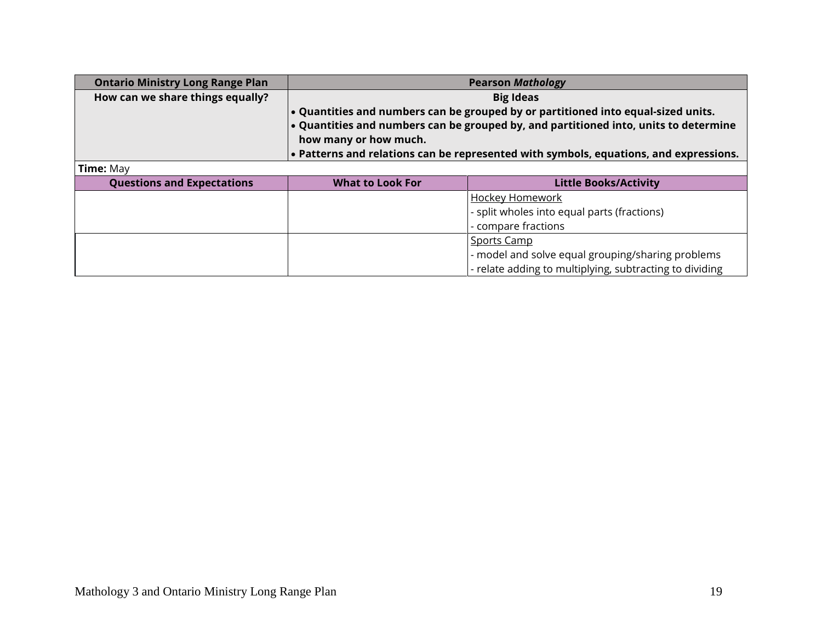| <b>Ontario Ministry Long Range Plan</b> | <b>Pearson Mathology</b>                                                                                                                                                                           |                                                         |
|-----------------------------------------|----------------------------------------------------------------------------------------------------------------------------------------------------------------------------------------------------|---------------------------------------------------------|
| How can we share things equally?        | <b>Big Ideas</b>                                                                                                                                                                                   |                                                         |
|                                         | . Quantities and numbers can be grouped by or partitioned into equal-sized units.<br>. Quantities and numbers can be grouped by, and partitioned into, units to determine<br>how many or how much. |                                                         |
|                                         | . Patterns and relations can be represented with symbols, equations, and expressions.                                                                                                              |                                                         |
| <b>Time: May</b>                        |                                                                                                                                                                                                    |                                                         |
| <b>Questions and Expectations</b>       | <b>What to Look For</b>                                                                                                                                                                            | <b>Little Books/Activity</b>                            |
|                                         |                                                                                                                                                                                                    | <b>Hockey Homework</b>                                  |
|                                         |                                                                                                                                                                                                    | - split wholes into equal parts (fractions)             |
|                                         |                                                                                                                                                                                                    | - compare fractions                                     |
|                                         |                                                                                                                                                                                                    | Sports Camp                                             |
|                                         |                                                                                                                                                                                                    | - model and solve equal grouping/sharing problems       |
|                                         |                                                                                                                                                                                                    | - relate adding to multiplying, subtracting to dividing |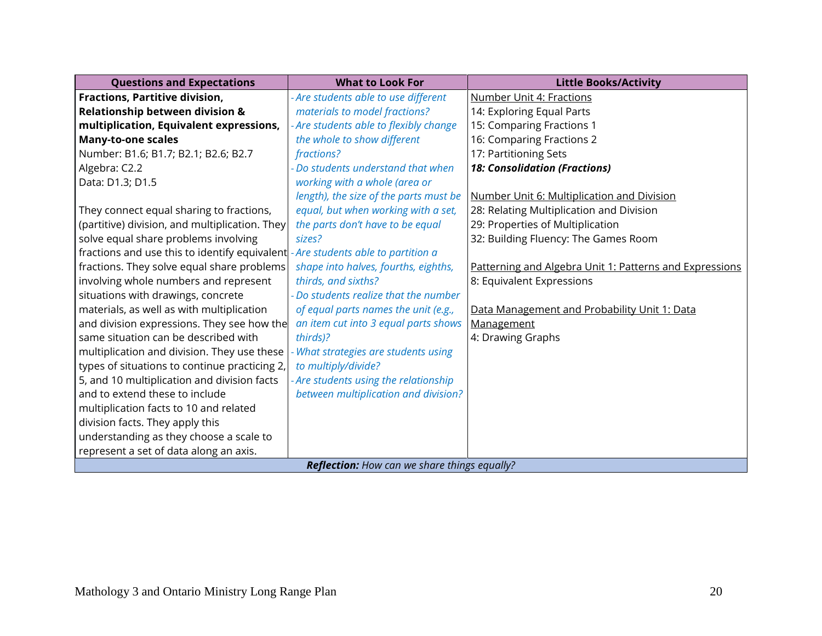| <b>Questions and Expectations</b>                   | <b>What to Look For</b>                | <b>Little Books/Activity</b>                            |
|-----------------------------------------------------|----------------------------------------|---------------------------------------------------------|
| Fractions, Partitive division,                      | - Are students able to use different   | <b>Number Unit 4: Fractions</b>                         |
| <b>Relationship between division &amp;</b>          | materials to model fractions?          | 14: Exploring Equal Parts                               |
| multiplication, Equivalent expressions,             | - Are students able to flexibly change | 15: Comparing Fractions 1                               |
| <b>Many-to-one scales</b>                           | the whole to show different            | 16: Comparing Fractions 2                               |
| Number: B1.6; B1.7; B2.1; B2.6; B2.7                | fractions?                             | 17: Partitioning Sets                                   |
| Algebra: C2.2                                       | Do students understand that when       | <b>18: Consolidation (Fractions)</b>                    |
| Data: D1.3; D1.5                                    | working with a whole (area or          |                                                         |
|                                                     | length), the size of the parts must be | Number Unit 6: Multiplication and Division              |
| They connect equal sharing to fractions,            | equal, but when working with a set,    | 28: Relating Multiplication and Division                |
| (partitive) division, and multiplication. They      | the parts don't have to be equal       | 29: Properties of Multiplication                        |
| solve equal share problems involving                | sizes?                                 | 32: Building Fluency: The Games Room                    |
| fractions and use this to identify equivalent       | - Are students able to partition a     |                                                         |
| fractions. They solve equal share problems          | shape into halves, fourths, eighths,   | Patterning and Algebra Unit 1: Patterns and Expressions |
| involving whole numbers and represent               | thirds, and sixths?                    | 8: Equivalent Expressions                               |
| situations with drawings, concrete                  | - Do students realize that the number  |                                                         |
| materials, as well as with multiplication           | of equal parts names the unit (e.g.,   | Data Management and Probability Unit 1: Data            |
| and division expressions. They see how the          | an item cut into 3 equal parts shows   | Management                                              |
| same situation can be described with                | thirds)?                               | 4: Drawing Graphs                                       |
| multiplication and division. They use these         | What strategies are students using     |                                                         |
| types of situations to continue practicing 2,       | to multiply/divide?                    |                                                         |
| 5, and 10 multiplication and division facts         | - Are students using the relationship  |                                                         |
| and to extend these to include                      | between multiplication and division?   |                                                         |
| multiplication facts to 10 and related              |                                        |                                                         |
| division facts. They apply this                     |                                        |                                                         |
| understanding as they choose a scale to             |                                        |                                                         |
| represent a set of data along an axis.              |                                        |                                                         |
| <b>Reflection:</b> How can we share things equally? |                                        |                                                         |